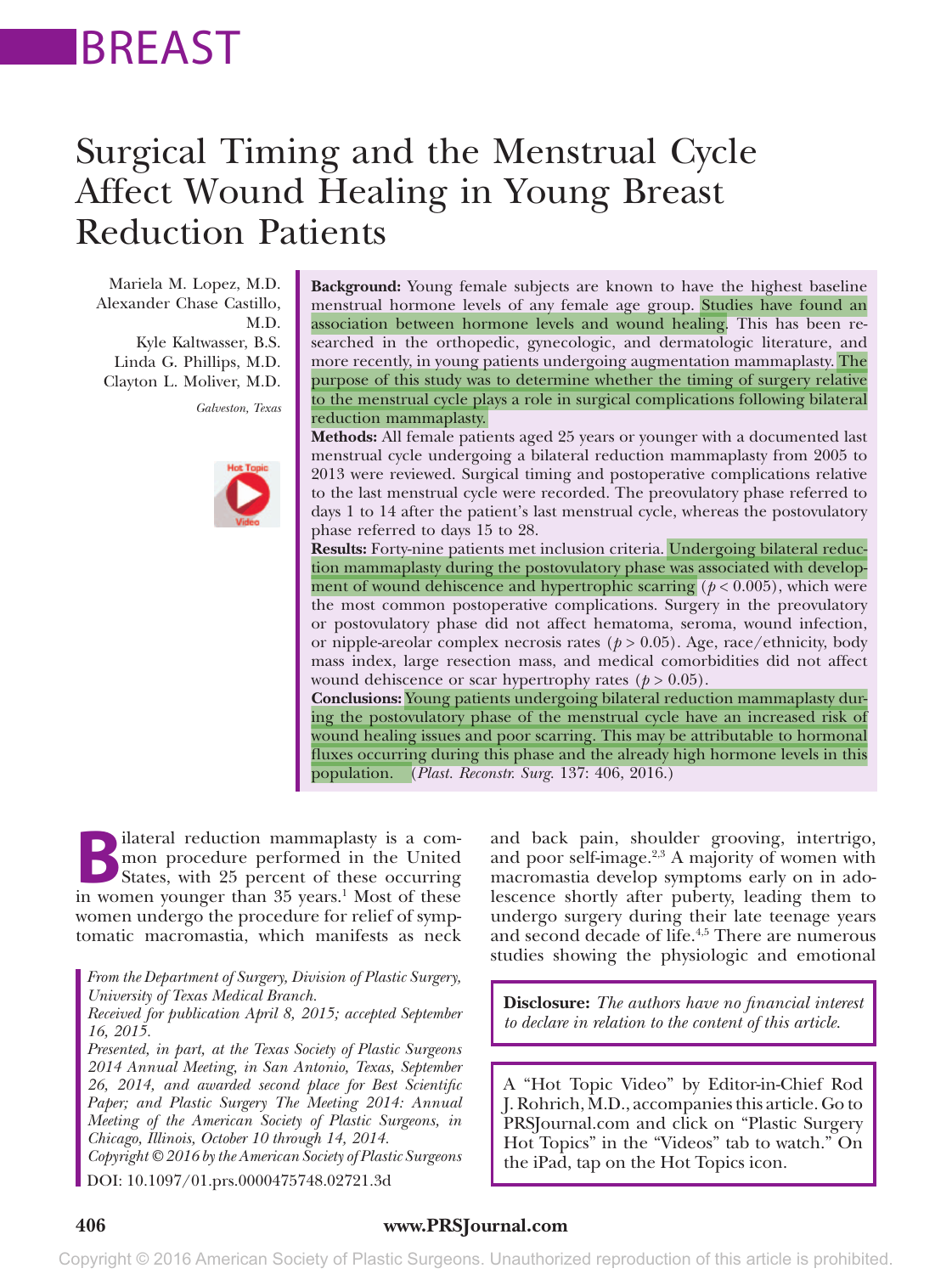# BREAST

## Surgical Timing and the Menstrual Cycle Affect Wound Healing in Young Breast Reduction Patients

Mariela M. Lopez, M.D. Alexander Chase Castillo, M.D. Kyle Kaltwasser, B.S. Linda G. Phillips, M.D. Clayton L. Moliver, M.D.

*Galveston, Texas*



**Background:** Young female subjects are known to have the highest baseline menstrual hormone levels of any female age group. Studies have found an association between hormone levels and wound healing. This has been researched in the orthopedic, gynecologic, and dermatologic literature, and more recently, in young patients undergoing augmentation mammaplasty. The purpose of this study was to determine whether the timing of surgery relative to the menstrual cycle plays a role in surgical complications following bilateral reduction mammaplasty.

**Methods:** All female patients aged 25 years or younger with a documented last menstrual cycle undergoing a bilateral reduction mammaplasty from 2005 to 2013 were reviewed. Surgical timing and postoperative complications relative to the last menstrual cycle were recorded. The preovulatory phase referred to days 1 to 14 after the patient's last menstrual cycle, whereas the postovulatory phase referred to days 15 to 28.

**Results:** Forty-nine patients met inclusion criteria. Undergoing bilateral reduction mammaplasty during the postovulatory phase was associated with development of wound dehiscence and hypertrophic scarring ( $p < 0.005$ ), which were the most common postoperative complications. Surgery in the preovulatory or postovulatory phase did not affect hematoma, seroma, wound infection, or nipple-areolar complex necrosis rates  $(p > 0.05)$ . Age, race/ethnicity, body mass index, large resection mass, and medical comorbidities did not affect wound dehiscence or scar hypertrophy rates  $(p > 0.05)$ .

**Conclusions:** Young patients undergoing bilateral reduction mammaplasty during the postovulatory phase of the menstrual cycle have an increased risk of wound healing issues and poor scarring. This may be attributable to hormonal fluxes occurring during this phase and the already high hormone levels in this population. (*Plast. Reconstr. Surg.* 137: 406, 2016.)

Bilateral reduction mammaplasty is a com-<br>
States, with 25 percent of these occurring<br>
in women younger than  $35$  years<sup>1</sup> Most of these **Manufacturist** is a common procedure performed in the United in women younger than 35 years.<sup>1</sup> Most of these women undergo the procedure for relief of symptomatic macromastia, which manifests as neck

*From the Department of Surgery, Division of Plastic Surgery, University of Texas Medical Branch.* 

*Received for publication April 8, 2015; accepted September 16, 2015.*

*Presented, in part, at the Texas Society of Plastic Surgeons 2014 Annual Meeting, in San Antonio, Texas, September 26, 2014, and awarded second place for Best Scientific Paper; and Plastic Surgery The Meeting 2014: Annual Meeting of the American Society of Plastic Surgeons, in Chicago, Illinois, October 10 through 14, 2014.*

*Copyright © 2016 by the American Society of Plastic Surgeons*

DOI: 10.1097/01.prs.0000475748.02721.3d

and back pain, shoulder grooving, intertrigo, and poor self-image.<sup>2,3</sup> A majority of women with macromastia develop symptoms early on in adolescence shortly after puberty, leading them to undergo surgery during their late teenage years and second decade of life.4,5 There are numerous studies showing the physiologic and emotional

**Disclosure:** *The authors have no financial interest to declare in relation to the content of this article.*

A "Hot Topic Video" by Editor-in-Chief Rod J. Rohrich, M.D., accompanies this article. Go to [PRSJournal.com](http://PRSJournal.com) and click on "Plastic Surgery Hot Topics" in the "Videos" tab to watch." On the iPad, tap on the Hot Topics icon.

#### **406 www.PRSJournal.com**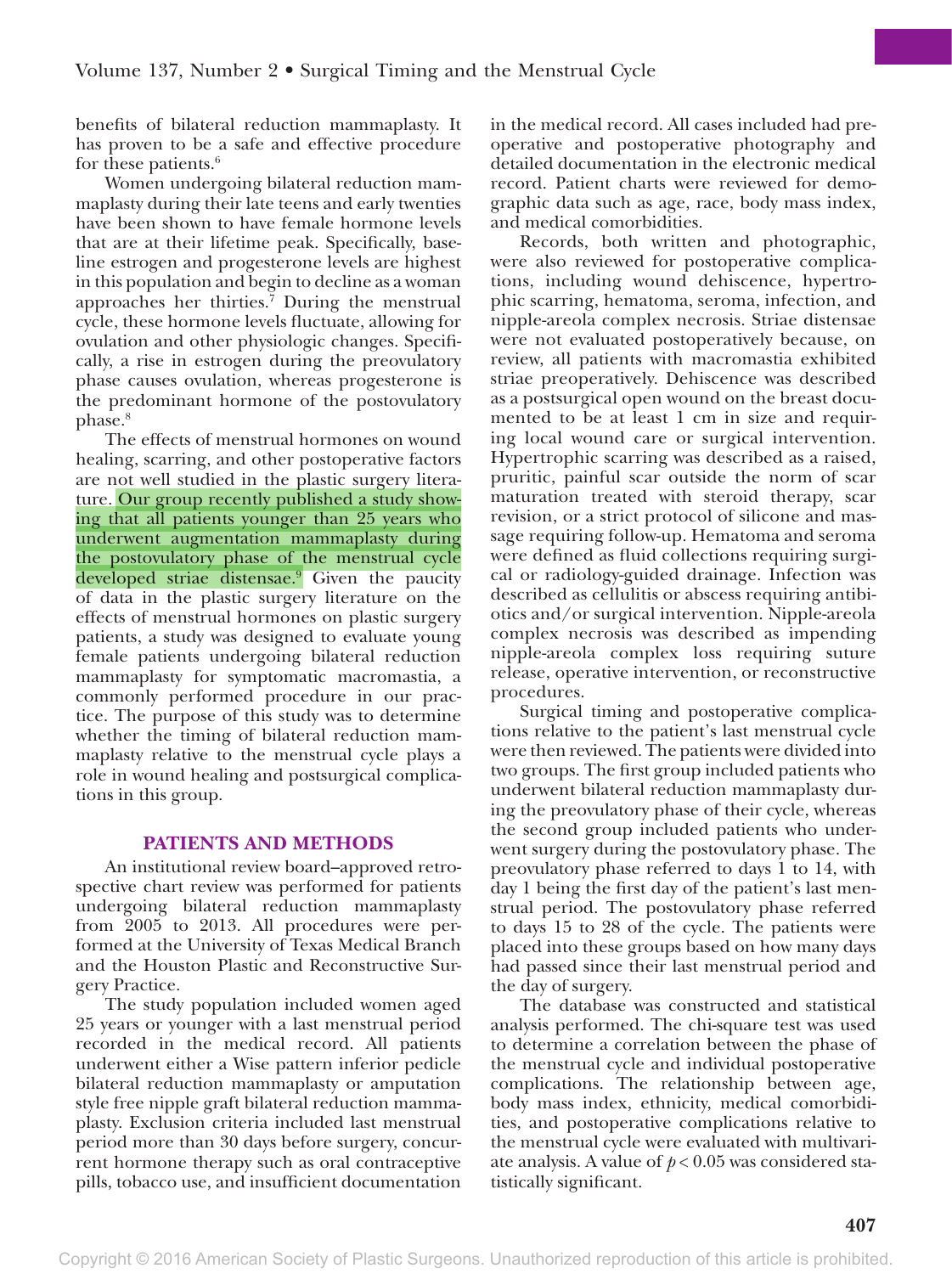benefits of bilateral reduction mammaplasty. It has proven to be a safe and effective procedure for these patients.<sup>6</sup>

Women undergoing bilateral reduction mammaplasty during their late teens and early twenties have been shown to have female hormone levels that are at their lifetime peak. Specifically, baseline estrogen and progesterone levels are highest in this population and begin to decline as a woman approaches her thirties.7 During the menstrual cycle, these hormone levels fluctuate, allowing for ovulation and other physiologic changes. Specifically, a rise in estrogen during the preovulatory phase causes ovulation, whereas progesterone is the predominant hormone of the postovulatory phase.<sup>8</sup>

The effects of menstrual hormones on wound healing, scarring, and other postoperative factors are not well studied in the plastic surgery literature. Our group recently published a study showing that all patients younger than 25 years who underwent augmentation mammaplasty during the postovulatory phase of the menstrual cycle developed striae distensae.9 Given the paucity of data in the plastic surgery literature on the effects of menstrual hormones on plastic surgery patients, a study was designed to evaluate young female patients undergoing bilateral reduction mammaplasty for symptomatic macromastia, a commonly performed procedure in our practice. The purpose of this study was to determine whether the timing of bilateral reduction mammaplasty relative to the menstrual cycle plays a role in wound healing and postsurgical complications in this group.

### **PATIENTS AND METHODS**

An institutional review board–approved retrospective chart review was performed for patients undergoing bilateral reduction mammaplasty from 2005 to 2013. All procedures were performed at the University of Texas Medical Branch and the Houston Plastic and Reconstructive Surgery Practice.

The study population included women aged 25 years or younger with a last menstrual period recorded in the medical record. All patients underwent either a Wise pattern inferior pedicle bilateral reduction mammaplasty or amputation style free nipple graft bilateral reduction mammaplasty. Exclusion criteria included last menstrual period more than 30 days before surgery, concurrent hormone therapy such as oral contraceptive pills, tobacco use, and insufficient documentation

in the medical record. All cases included had preoperative and postoperative photography and detailed documentation in the electronic medical record. Patient charts were reviewed for demographic data such as age, race, body mass index, and medical comorbidities.

Records, both written and photographic, were also reviewed for postoperative complications, including wound dehiscence, hypertrophic scarring, hematoma, seroma, infection, and nipple-areola complex necrosis. Striae distensae were not evaluated postoperatively because, on review, all patients with macromastia exhibited striae preoperatively. Dehiscence was described as a postsurgical open wound on the breast documented to be at least 1 cm in size and requiring local wound care or surgical intervention. Hypertrophic scarring was described as a raised, pruritic, painful scar outside the norm of scar maturation treated with steroid therapy, scar revision, or a strict protocol of silicone and massage requiring follow-up. Hematoma and seroma were defined as fluid collections requiring surgical or radiology-guided drainage. Infection was described as cellulitis or abscess requiring antibiotics and/or surgical intervention. Nipple-areola complex necrosis was described as impending nipple-areola complex loss requiring suture release, operative intervention, or reconstructive procedures.

Surgical timing and postoperative complications relative to the patient's last menstrual cycle were then reviewed. The patients were divided into two groups. The first group included patients who underwent bilateral reduction mammaplasty during the preovulatory phase of their cycle, whereas the second group included patients who underwent surgery during the postovulatory phase. The preovulatory phase referred to days 1 to 14, with day 1 being the first day of the patient's last menstrual period. The postovulatory phase referred to days 15 to 28 of the cycle. The patients were placed into these groups based on how many days had passed since their last menstrual period and the day of surgery.

The database was constructed and statistical analysis performed. The chi-square test was used to determine a correlation between the phase of the menstrual cycle and individual postoperative complications. The relationship between age, body mass index, ethnicity, medical comorbidities, and postoperative complications relative to the menstrual cycle were evaluated with multivariate analysis. A value of  $p < 0.05$  was considered statistically significant.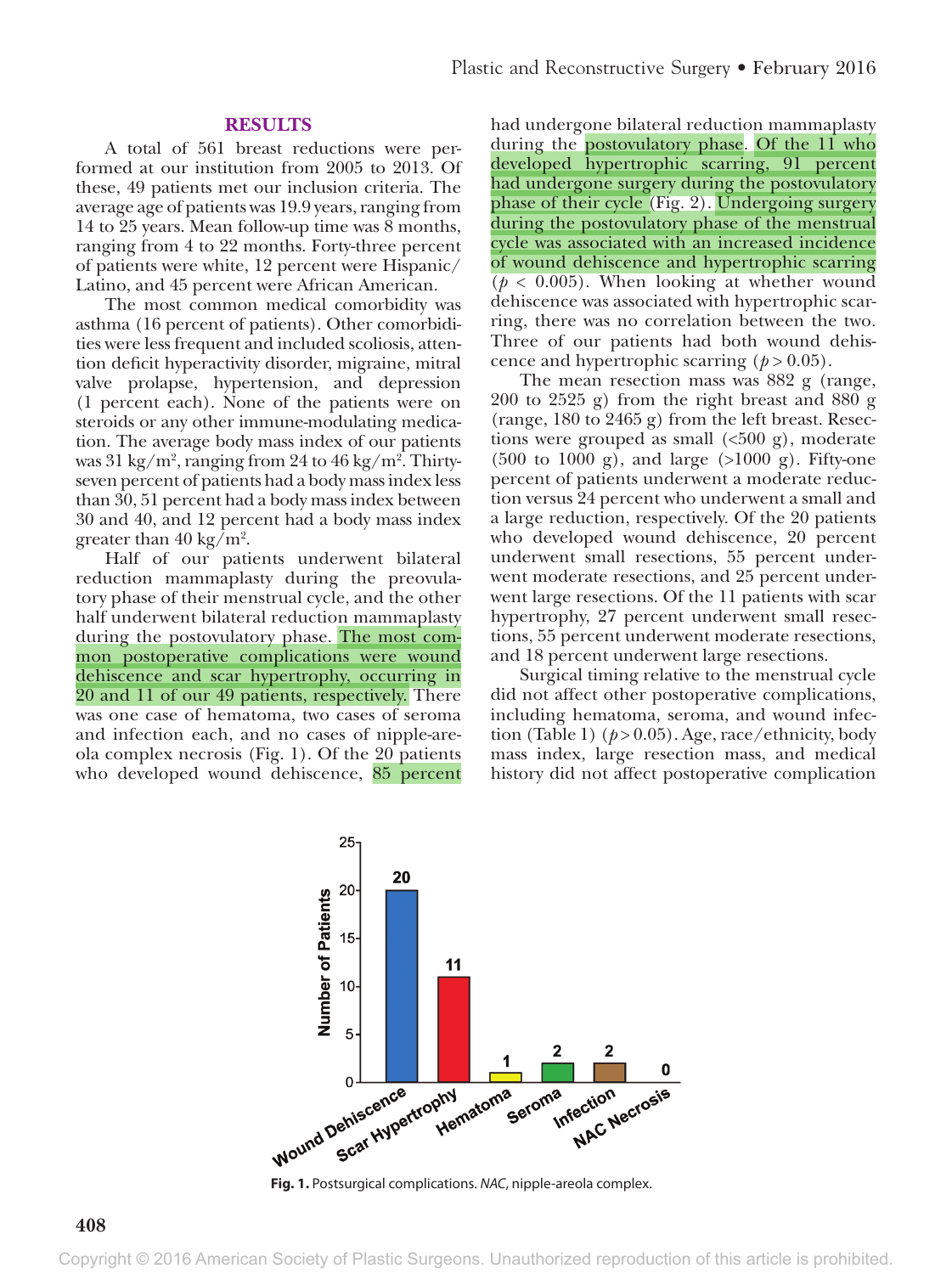#### **RESULTS**

A total of 561 breast reductions were performed at our institution from 2005 to 2013. Of these, 49 patients met our inclusion criteria. The average age of patients was 19.9 years, ranging from 14 to 25 years. Mean follow-up time was 8 months, ranging from 4 to 22 months. Forty-three percent of patients were white, 12 percent were Hispanic/ Latino, and 45 percent were African American.

The most common medical comorbidity was asthma (16 percent of patients). Other comorbidities were less frequent and included scoliosis, attention deficit hyperactivity disorder, migraine, mitral valve prolapse, hypertension, and depression (1 percent each). None of the patients were on steroids or any other immune-modulating medication. The average body mass index of our patients was  $31 \text{ kg}/\text{m}^2$ , ranging from  $24$  to  $46 \text{ kg}/\text{m}^2$ . Thirtyseven percent of patients had a body mass index less than 30, 51 percent had a body mass index between 30 and 40, and 12 percent had a body mass index greater than  $40 \text{ kg/m}^2$ .

Half of our patients underwent bilateral reduction mammaplasty during the preovulatory phase of their menstrual cycle, and the other half underwent bilateral reduction mammaplasty during the postovulatory phase. The most common postoperative complications were wound dehiscence and scar hypertrophy, occurring in 20 and 11 of our 49 patients, respectively. There was one case of hematoma, two cases of seroma and infection each, and no cases of nipple-areola complex necrosis (Fig. 1). Of the 20 patients who developed wound dehiscence, 85 percent

had undergone bilateral reduction mammaplasty during the postovulatory phase. Of the 11 who developed hypertrophic scarring, 91 percent had undergone surgery during the postovulatory phase of their cycle (Fig. 2). Undergoing surgery during the postovulatory phase of the menstrual cycle was associated with an increased incidence of wound dehiscence and hypertrophic scarring  $(p < 0.005)$ . When looking at whether wound dehiscence was associated with hypertrophic scarring, there was no correlation between the two. Three of our patients had both wound dehiscence and hypertrophic scarring  $(p > 0.05)$ .

The mean resection mass was 882 g (range, 200 to 2525 g) from the right breast and 880 g (range, 180 to 2465 g) from the left breast. Resections were grouped as small  $(<500 \text{ g})$ , moderate  $(500 \text{ to } 1000 \text{ g})$ , and large  $(>1000 \text{ g})$ . Fifty-one percent of patients underwent a moderate reduction versus 24 percent who underwent a small and a large reduction, respectively. Of the 20 patients who developed wound dehiscence, 20 percent underwent small resections, 55 percent underwent moderate resections, and 25 percent underwent large resections. Of the 11 patients with scar hypertrophy, 27 percent underwent small resections, 55 percent underwent moderate resections, and 18 percent underwent large resections.

Surgical timing relative to the menstrual cycle did not affect other postoperative complications, including hematoma, seroma, and wound infection (Table 1)  $(p > 0.05)$ . Age, race/ethnicity, body mass index, large resection mass, and medical history did not affect postoperative complication



#### **408**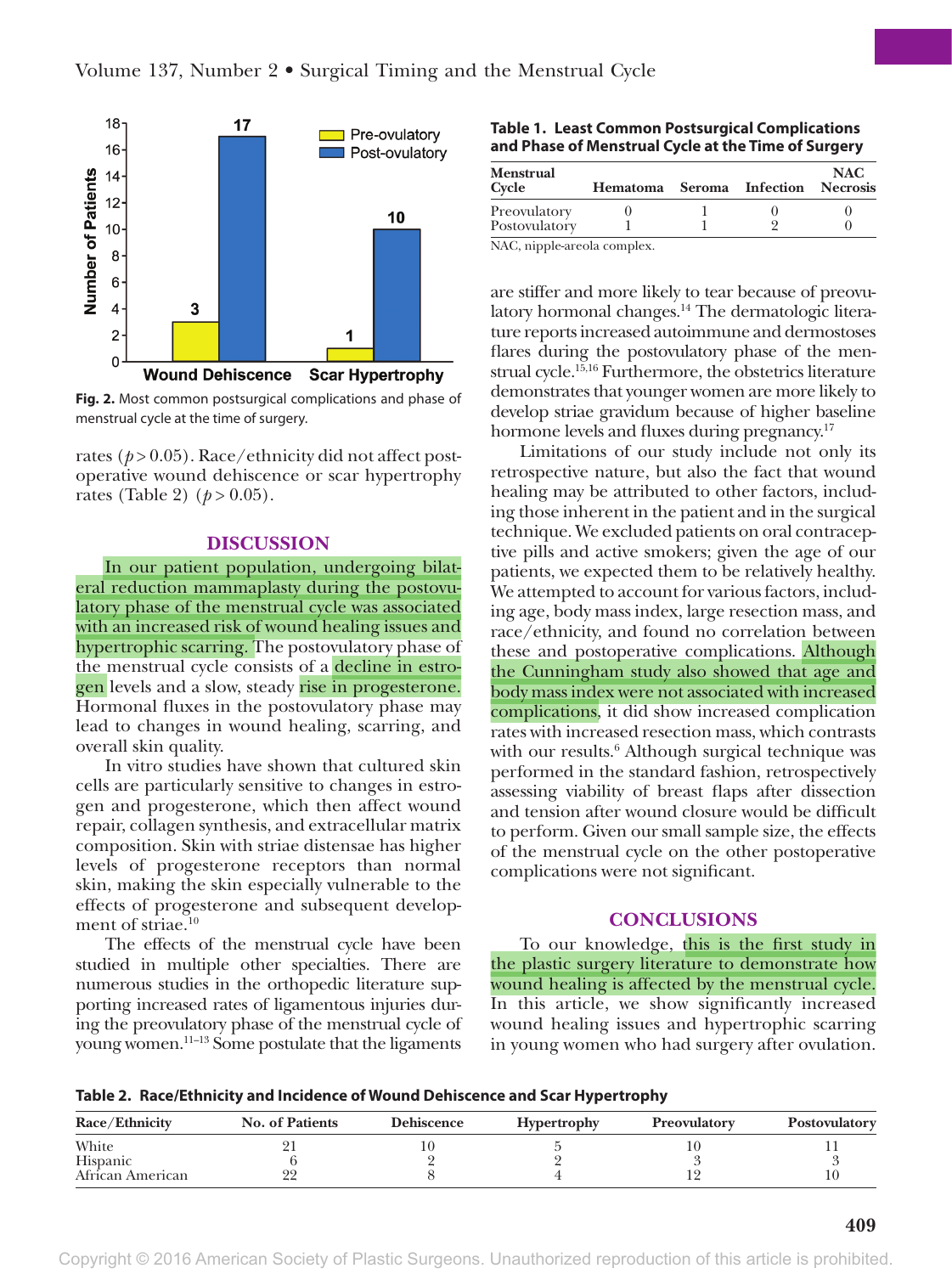

**Fig. 2.** Most common postsurgical complications and phase of menstrual cycle at the time of surgery.

rates  $(p > 0.05)$ . Race/ethnicity did not affect postoperative wound dehiscence or scar hypertrophy rates (Table 2)  $(p > 0.05)$ .

#### **DISCUSSION**

In our patient population, undergoing bilateral reduction mammaplasty during the postovulatory phase of the menstrual cycle was associated with an increased risk of wound healing issues and hypertrophic scarring. The postovulatory phase of the menstrual cycle consists of a decline in estrogen levels and a slow, steady rise in progesterone. Hormonal fluxes in the postovulatory phase may lead to changes in wound healing, scarring, and overall skin quality.

In vitro studies have shown that cultured skin cells are particularly sensitive to changes in estrogen and progesterone, which then affect wound repair, collagen synthesis, and extracellular matrix composition. Skin with striae distensae has higher levels of progesterone receptors than normal skin, making the skin especially vulnerable to the effects of progesterone and subsequent development of striae.<sup>10</sup>

The effects of the menstrual cycle have been studied in multiple other specialties. There are numerous studies in the orthopedic literature supporting increased rates of ligamentous injuries during the preovulatory phase of the menstrual cycle of young women.11–13 Some postulate that the ligaments

**Table 1. Least Common Postsurgical Complications and Phase of Menstrual Cycle at the Time of Surgery**

| <b>Menstrual</b><br>Cycle | Hematoma Seroma Infection |  | <b>NAC</b><br><b>Necrosis</b> |
|---------------------------|---------------------------|--|-------------------------------|
| Preovulatory              |                           |  |                               |
| Postovulatory             |                           |  |                               |

NAC, nipple-areola complex.

are stiffer and more likely to tear because of preovulatory hormonal changes.14 The dermatologic literature reports increased autoimmune and dermostoses flares during the postovulatory phase of the menstrual cycle.15,16 Furthermore, the obstetrics literature demonstrates that younger women are more likely to develop striae gravidum because of higher baseline hormone levels and fluxes during pregnancy.<sup>17</sup>

Limitations of our study include not only its retrospective nature, but also the fact that wound healing may be attributed to other factors, including those inherent in the patient and in the surgical technique. We excluded patients on oral contraceptive pills and active smokers; given the age of our patients, we expected them to be relatively healthy. We attempted to account for various factors, including age, body mass index, large resection mass, and race/ethnicity, and found no correlation between these and postoperative complications. Although the Cunningham study also showed that age and body mass index were not associated with increased complications, it did show increased complication rates with increased resection mass, which contrasts with our results.<sup>6</sup> Although surgical technique was performed in the standard fashion, retrospectively assessing viability of breast flaps after dissection and tension after wound closure would be difficult to perform. Given our small sample size, the effects of the menstrual cycle on the other postoperative complications were not significant.

#### **CONCLUSIONS**

To our knowledge, this is the first study in the plastic surgery literature to demonstrate how wound healing is affected by the menstrual cycle. In this article, we show significantly increased wound healing issues and hypertrophic scarring in young women who had surgery after ovulation.

**Table 2. Race/Ethnicity and Incidence of Wound Dehiscence and Scar Hypertrophy**

| Race/Ethnicity   | <b>No. of Patients</b> | <b>Dehiscence</b> | <b>Hypertrophy</b> | Preovulatory | Postovulatory |  |
|------------------|------------------------|-------------------|--------------------|--------------|---------------|--|
| White            |                        |                   |                    |              |               |  |
| Hispanic         |                        |                   |                    |              |               |  |
| African American | 99<br>--               |                   |                    |              |               |  |